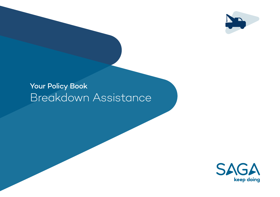

# Your Policy Book Breakdown Assistance

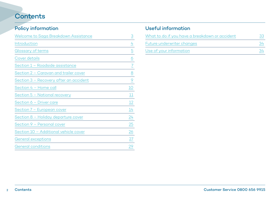## **Contents**

## Policy information

| Welcome to Saga Breakdown Assistance   | $\overline{3}$ |
|----------------------------------------|----------------|
| Introduction                           | $\overline{4}$ |
| Glossary of terms                      | $\overline{5}$ |
| Cover details                          | $\overline{6}$ |
| Section 1 - Roadside assistance        | $\overline{2}$ |
| Section 2 – Caravan and trailer cover  | $\overline{8}$ |
| Section 3 - Recovery after an accident | $\overline{6}$ |
| Section 4 - Home call                  | 10             |
| Section 5 - National recovery          | 11             |
| Section 6 - Driver care                | 12             |
| Section 7 - European cover             | 14             |
| Section 8 - Holiday departure cover    | $\frac{24}{1}$ |
| Section 9 - Personal cover             | 25             |
| Section 10 - Additional vehicle cover  | 26             |
| General exceptions                     | 27             |
| General conditions                     | 29             |

## Useful information

| What to do if you have a breakdown or accident |  |
|------------------------------------------------|--|
| Future underwriter changes                     |  |
| Use of your information                        |  |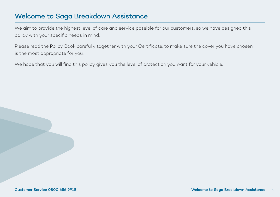## <span id="page-2-0"></span>Welcome to Saga Breakdown Assistance

We aim to provide the highest level of care and service possible for our customers, so we have designed this policy with your specific needs in mind.

Please read the Policy Book carefully together with your Certificate, to make sure the cover you have chosen is the most appropriate for you.

We hope that you will find this policy gives you the level of protection you want for your vehicle.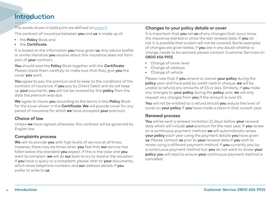## <span id="page-3-0"></span>Introduction

The words shown in bold print are defined on [page 5](#page-4-0).

The contract of insurance between **vou** and us is made up of:

- the Policy Book and
- $\cdot$  the Certificate.

It is based on the information you have given us. Any advice leaflet or similar literature vou receive about this insurance does not form part of your contract.

You should read the Policy Book together with the Certificate. Please check them carefully to make sure that they give you the cover you want.

You agree to pay the premium and to keep to the conditions of the contract of insurance. If you pay by Direct Debit and do not keep up your payments, you will not be covered by this policy from the date the premium was due.

We agree to insure you according to the terms in this Policy Book for the cover shown in the **Certificate**. We will provide cover for any period of insurance for which we have accepted your premium.

### Choice of law

Unless we have agreed otherwise, this contract will be governed by English law.

#### Complaints process

We aim to provide you with high levels of service at all times. However, there may be times when you feel that our service has fallen below the standard you expect. If this is the case and you want to complain, we will do our best to try to resolve the situation. If you have a query or a complaint, please refer to your documents, which show telephone numbers and our address details if you prefer to write to us.

### Changes to your policy details or cover

It is important that you tell us of any changes that occur since the insurance started or since the last renewal date. If you do not it is possible that a claim will not be covered. Some examples of changes are given below; if you are in any doubt whether a change needs to be advised, please contact Customer Services on 0800 656 9915.

- Change of cover level
- Change of address
- Change of vehicle.

Please note that if you amend or cancel your policy during the policy year and have paid by credit card or cheque, we will be unable to refund any amounts of £5 or less. Similarly, if you make any changes to your policy during the policy year, we will only request any charges from you if the amount is over £5.

You will not be entitled to a refund should you reduce the level of cover on your policy if you have made a claim in that current year.

#### Renewal process

You will be sent a renewal invitation 21 days before your renewal date which will include your premium for the next year. If you renew on a continuous payment method, we will automatically renew your policy each year using the payment details you have given us. Please contact us prior to your renewal date if you wish to renew using a different payment method. If you currently pay by a continuous payment method but you do not want to renew your policy you will need to ensure your continuous payment method is cancelled.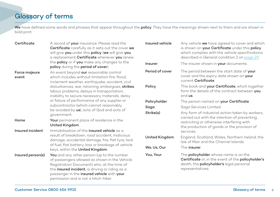## <span id="page-4-0"></span>Glossary of terms

We have defined some words and phrases that appear throughout the policy. They have the meanings shown next to them and are shown in bold print:

| Certificate            | A record of your insurance. Please read the<br>Certificate carefully as it sets out the cover we<br>will give you under this policy (we will give you<br>a replacement Certificate whenever you renew                                                                              | Insured vehicle | Any vehicle we have agreed to cover and which<br>is shown on your Certificate under this policy<br>which complies with the vehicle specifications<br>described in General condition 2 on page 29. |  |  |
|------------------------|------------------------------------------------------------------------------------------------------------------------------------------------------------------------------------------------------------------------------------------------------------------------------------|-----------------|---------------------------------------------------------------------------------------------------------------------------------------------------------------------------------------------------|--|--|
|                        | the <b>policy</b> or if you make any changes to the<br>policy during the period of cover).                                                                                                                                                                                         | Insurer         | The insurer shown in your documents.                                                                                                                                                              |  |  |
| Force majeure<br>event | An event beyond our reasonable control<br>which includes without limitation fire, flood,<br>inclement weather, earthquake, accident, civil                                                                                                                                         | Period of cover | The period between the start date of your<br>cover and the expiry date shown on your<br>current Certificate.                                                                                      |  |  |
|                        | disturbances, war, rationing, embargoes, strikes,<br>labour problems, delays in transportation,<br>inability to secure necessary materials, delay                                                                                                                                  | Policy          | This book and your Certificate, which together<br>form the details of the contract between you<br>and us.                                                                                         |  |  |
|                        | or failure of performance of any supplier or                                                                                                                                                                                                                                       | Policyholder    | The person named on your Certificate.                                                                                                                                                             |  |  |
|                        | subcontractor (which cannot reasonably<br>be avoided by us), acts of God and acts of<br>government.                                                                                                                                                                                | Saga            | Saga Services Limited                                                                                                                                                                             |  |  |
|                        |                                                                                                                                                                                                                                                                                    | Strike(s)       | Any form of industrial action taken by workers,                                                                                                                                                   |  |  |
| Home                   | Your permanent place of residence in the<br>United Kingdom.                                                                                                                                                                                                                        |                 | carried out with the intention of preventing,<br>restricting or otherwise interfering with<br>the production of goods or the provision of                                                         |  |  |
| Insured incident       | Immobilisation of the insured vehicle as a                                                                                                                                                                                                                                         |                 | services.                                                                                                                                                                                         |  |  |
|                        | result of breakdown, road accident, malicious<br>damage, accidental damage, fire, flat tyre, lack<br>of fuel, flat battery, loss or breakage of vehicle<br>keys, within the United Kingdom.                                                                                        | United Kingdom  | England, Scotland, Wales, Northern Ireland, the<br>Isle of Man and the Channel Islands.                                                                                                           |  |  |
|                        |                                                                                                                                                                                                                                                                                    | We, Us, Our     | The insurer.                                                                                                                                                                                      |  |  |
| Insured person(s)      | You and any other person (up to the number<br>of passengers allowed as shown in the Vehicle<br>Registration Document) who, at the time of<br>the insured incident, is driving or riding as a<br>passenger in the insured vehicle with your<br>permission and is not a hitch-hiker. | You, Your       | The <b>policyholder</b> whose name is on the<br>Certificate or, in the event of the policyholder's<br>death, the <b>policyholder's</b> legal personal<br>representatives.                         |  |  |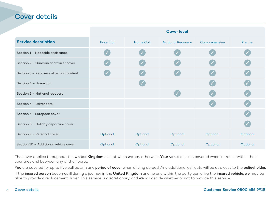## <span id="page-5-0"></span>Cover details

|                                        | <b>Cover level</b> |                  |                          |                          |          |
|----------------------------------------|--------------------|------------------|--------------------------|--------------------------|----------|
| <b>Service description</b>             | <b>Essential</b>   | <b>Home Call</b> | <b>National Recovery</b> | Comprehensive            | Premier  |
| Section 1 - Roadside assistance        |                    |                  |                          |                          |          |
| Section 2 - Caravan and trailer cover  |                    |                  |                          |                          |          |
| Section 3 - Recovery after an accident |                    |                  |                          |                          |          |
| Section 4 - Home call                  |                    |                  |                          |                          |          |
| Section 5 - National recovery          |                    |                  |                          | $\overline{\mathscr{S}}$ |          |
| Section 6 - Driver care                |                    |                  |                          |                          |          |
| Section 7 - European cover             |                    |                  |                          |                          |          |
| Section 8 - Holiday departure cover    |                    |                  |                          |                          |          |
| Section 9 - Personal cover             | Optional           | Optional         | Optional                 | Optional                 | Optional |
| Section 10 - Additional vehicle cover  | Optional           | Optional         | Optional                 | Optional                 | Optional |

The cover applies throughout the United Kingdom except when we say otherwise. Your vehicle is also covered when in transit within these countries and between any of their ports.

You are covered for up to five call outs in any period of cover when driving abroad. Any additional call outs will be at a cost to the policyholder.

If the insured person becomes ill during a journey in the United Kingdom and no one within the party can drive the insured vehicle, we may be able to provide a replacement driver. This service is discretionary, and we will decide whether or not to provide this service.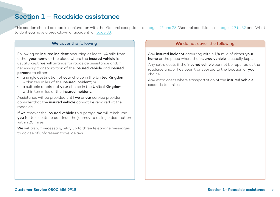## Section 1 – Roadside assistance

This section should be read in conjunction with the 'General exceptions' on [pages 27 and 28](#page-26-0), 'General conditions' on [pages 29 to 32](#page-28-0) and 'What to do if you have a breakdown or accident' on [page 33.](#page-32-0)

Following an insured incident occurring at least  $1/4$  mile from either **your home** or the place where the **insured vehicle** is usually kept, we will arrange for roadside assistance and, if necessary, transportation of the insured vehicle and insured persons to either:

- **.** a single destination of your choice in the United Kingdom within ten miles of the **insured incident**; or
- a suitable repairer of **your** choice in the United Kingdom within ten miles of the **insured incident**.

Assistance will be provided until we or our service provider consider that the insured vehicle cannot be repaired at the roadside.

If we recover the insured vehicle to a garage, we will reimburse you for taxi costs to continue the journey to a single destination within 20 miles.

We will also, if necessary, relay up to three telephone messages to advise of unforeseen travel delays.

#### **We** cover the following **We** cover the following **We** do not cover the following

Any insured incident occurring within  $1/4$  mile of either your home or the place where the insured vehicle is usually kept.

Any extra costs if the insured vehicle cannot be repaired at the roadside and/or has been transported to the location of your choice.

Any extra costs where transportation of the *insured* vehicle exceeds ten miles.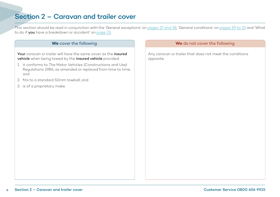## Section 2 – Caravan and trailer cover

This section should be read in conjunction with the 'General exceptions' on [pages 27 and 28](#page-26-0), 'General conditions' on [pages 29 to 32](#page-28-0) and 'What to do if you have a breakdown or accident' on [page 33.](#page-32-0)

Your caravan or trailer will have the same cover as the insured vehicle when being towed by the insured vehicle provided:

- 1. it conforms to The Motor Vehicles (Constructions and Use) Regulations 1986, as amended or replaced from time to time; and
- 2. fits to a standard 50mm towball; and
- 3. is of a proprietary make.

#### **We** cover the following **We** do not cover the following

Any caravan or trailer that does not meet the conditions opposite.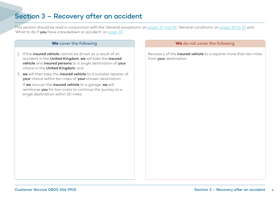## Section 3 – Recovery after an accident

This section should be read in conjunction with the 'General exceptions' on [pages 27 and 28](#page-26-0), 'General conditions' on [pages 29 to 32](#page-28-0) and 'What to do if you have a breakdown or accident' on [page 33.](#page-32-0)

- 1. If the insured vehicle cannot be driven as a result of an accident in the United Kingdom, we will take the insured vehicle and insured persons to a single destination of your choice in the United Kingdom; and
- 2. we will then take the insured vehicle to a suitable repairer of your choice within ten miles of your chosen destination.

If we recover the insured vehicle to a garage, we will reimburse you for taxi costs to continue the journey to a single destination within 20 miles.

#### **We** cover the following **We** cover the following **We** do not cover the following

Recovery of the *insured vehicle* to a repairer more than ten miles from **your** destination.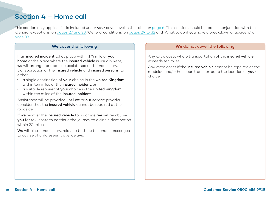## Section 4 – Home call

This section only applies if it is included under **your** cover level in the table on [page 6.](#page-5-0) This section should be read in conjunction with the 'General exceptions' on [pages 27 and 28,](#page-26-0) 'General conditions' on [pages 29 to 32](#page-28-0) and 'What to do if you have a breakdown or accident' on [page 33.](#page-32-0)

If an insured incident takes place within  $1/4$  mile of your home or the place where the insured vehicle is usually kept, we will arrange for roadside assistance and, if necessary, transportation of the insured vehicle and insured persons, to either:

- a single destination of **your** choice in the United Kingdom within ten miles of the **insured incident**; or
- a suitable repairer of your choice in the United Kingdom within ten miles of the **insured incident**

Assistance will be provided until we or our service provider consider that the *insured* vehicle cannot be repaired at the roadside.

If we recover the insured vehicle to a garage, we will reimburse you for taxi costs to continue the journey to a single destination within 20 miles.

We will also, if necessary, relay up to three telephone messages to advise of unforeseen travel delays.

#### **We** cover the following **We** do not cover the following

Any extra costs where transportation of the insured vehicle exceeds ten miles.

Any extra costs if the *insured vehicle* cannot be repaired at the roadside and/or has been transported to the location of your choice.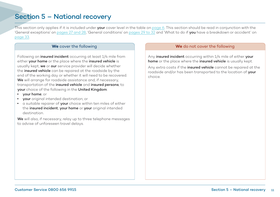# Section 5 – National recovery

This section only applies if it is included under **your** cover level in the table on [page 6.](#page-5-0) This section should be read in conjunction with the 'General exceptions' on [pages 27 and 28,](#page-26-0) 'General conditions' on [pages 29 to 32](#page-28-0) and 'What to do if you have a breakdown or accident' on [page 33.](#page-32-0)

Following an insured incident occurring at least  $1/4$  mile from either your home or the place where the insured vehicle is usually kept, we or our service provider will decide whether the insured vehicle can be repaired at the roadside by the end of the working day or whether it will need to be recovered. We will arrange for roadside assistance and, if necessary, transportation of the insured vehicle and insured persons, to your choice of the following in the United Kingdom:

- **vour home**; or
- **•** your original intended destination; or
- a suitable repairer of your choice within ten miles of either the insured incident, your home or your original intended destination.

We will also, if necessary, relay up to three telephone messages to advise of unforeseen travel delays.

#### **We** cover the following **We** do not cover the following

Any insured incident occurring within  $1/4$  mile of either your home or the place where the insured vehicle is usually kept.

Any extra costs if the *insured vehicle* cannot be repaired at the roadside and/or has been transported to the location of vour choice.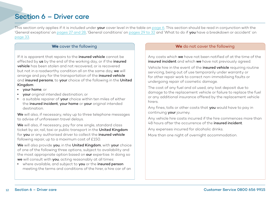# Section 6 – Driver care

This section only applies if it is included under **your** cover level in the table on [page 6.](#page-5-0) This section should be read in conjunction with the 'General exceptions' on [pages 27 and 28,](#page-26-0) 'General conditions' on [pages 29 to 32](#page-28-0) and 'What to do if you have a breakdown or accident' on [page 33.](#page-32-0)

If it is apparent that repairs to the *insured vehicle* cannot be effected by us by the end of the working day, or if the insured vehicle has been stolen and not recovered, or is recovered but not in a roadworthy condition all on the same day, we will arrange and pay for the transportation of the *insured vehicle* and insured persons, to your choice of the following in the United Kingdom:

- <sup>l</sup> your home; or
- **vour** original intended destination; or
- a suitable repairer of **your** choice within ten miles of either the insured incident, your home or your original intended destination.

We will also, if necessary, relay up to three telephone messages to advise of unforeseen travel delays.

We will also, if necessary, pay for one single, standard class ticket by air, rail, taxi or public transport in the United Kingdom for you or any authorised driver to collect the insured vehicle following repair, up to a maximum cost of £150.

We will also provide you, in the United Kingdom, with your choice of one of the following three options, subject to availability and the most appropriate option based on **our** expertise. In doing so we will consult with you, acting reasonably at all times:

• where available, and subject to you or the insured person meeting the terms and conditions of the hirer, a hire car of an

#### **We** cover the following **We** do not cover the following

Any costs which we have not been notified of at the time of the insured incident and which we have not previously agreed.

Vehicle hire in the event of the *insured vehicle* requiring routine servicing, being out of use temporarily under warranty or for other repair work to correct non-immobilising faults or undergoing repair of cosmetic damage.

The cost of any fuel and oil used, any lost deposit due to damage to the replacement vehicle or failure to replace the fuel or any additional insurance offered by the replacement vehicle hirers.

Any fines, tolls or other costs that you would have to pay in continuing **your** journey.

Any vehicle hire costs incurred if the hire commences more than 48 hours after the occurrence of the insured incident.

Any expenses incurred for alcoholic drinks.

More than one night of overnight accommodation.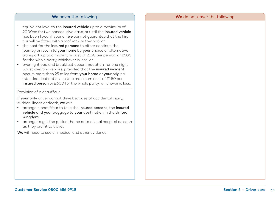#### **We** cover the following **We** do not cover the following

equivalent level to the *insured vehicle* up to a maximum of 2000cc for two consecutive days, or until the *insured vehicle* has been fixed, if sooner (we cannot guarantee that the hire car will be fitted with a roof rack or tow bar), or

- the cost for the *insured persons* to either continue the journey or return to your home by your choice of alternative transport, up to a maximum cost of £150 per person, or £500 for the whole party, whichever is less; or
- overnight bed and breakfast accommodation, for one night whilst awaiting repairs, provided that the insured incident occurs more than 25 miles from your home or your original intended destination, up to a maximum cost of £150 per insured person or £600 for the whole party, whichever is less.

Provision of a chauffeur

If your only driver cannot drive because of accidental injury, sudden illness or death, we will:

- **.** arrange a chauffeur to take the insured persons, the insured vehicle and your baggage to your destination in the United Kingdom;
- arrange to get the patient home or to a local hospital as soon as they are fit to travel.

We will need to see all medical and other evidence.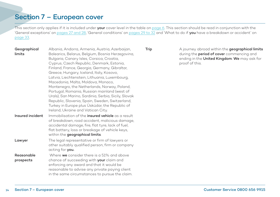## Section 7 – European cover

This section only applies if it is included under your cover level in the table on [page 6.](#page-5-0) This section should be read in conjunction with the 'General exceptions' on [pages 27 and 28,](#page-26-0) 'General conditions' on [pages 29 to 32](#page-28-0) and 'What to do if you have a breakdown or accident' on [page 33.](#page-32-0)

| Geographical<br>limits  | Albania, Andorra, Armenia, Austria, Azerbaijan,<br>Balearics, Belarus, Belgium, Bosnia Herzegovina,<br>Bulgaria, Canary Isles, Corsica, Croatia,<br>Cyprus, Czech Republic, Denmark, Estonia,<br>Finland, France, Georgia, Germany, Gibraltar,<br>Greece, Hungary, Iceland, Italy, Kosovo,<br>Latvia, Liechtenstein, Lithuania, Luxembourg,<br>Macedonia, Malta, Moldova, Monaco,<br>Montenegro, the Netherlands, Norway, Poland,<br>Portugal, Romania, Russian mainland (west of<br>Urals), San Marino, Sardinia, Serbia, Sicily, Slovak<br>Republic, Slovenia, Spain, Sweden, Switzerland,<br>Turkey in Europe plus Üsküdar, the Republic of<br>Ireland, Ukraine and Vatican City. | Trip | A journey abroad within the geographical limits<br>during the <b>period of cover</b> commencing and<br>ending in the United Kingdom. We may ask for<br>proof of this. |
|-------------------------|--------------------------------------------------------------------------------------------------------------------------------------------------------------------------------------------------------------------------------------------------------------------------------------------------------------------------------------------------------------------------------------------------------------------------------------------------------------------------------------------------------------------------------------------------------------------------------------------------------------------------------------------------------------------------------------|------|-----------------------------------------------------------------------------------------------------------------------------------------------------------------------|
| Insured incident        | Immobilisation of the <b>insured vehicle</b> as a result<br>of breakdown, road accident, malicious damage,<br>accidental damage, fire, flat tyre, lack of fuel,<br>flat battery, loss or breakage of vehicle keys,<br>within the geographical limits.                                                                                                                                                                                                                                                                                                                                                                                                                                |      |                                                                                                                                                                       |
| Lawyer                  | The legal representative or firm of lawyers or<br>other suitably qualified person, firm or company<br>acting for you.                                                                                                                                                                                                                                                                                                                                                                                                                                                                                                                                                                |      |                                                                                                                                                                       |
| Reasonable<br>prospects | Where we consider there is a 51% and above<br>chance of succeeding with <b>your</b> claim and<br>enforcing any award and that it would be<br>reasonable to advise any private paying client<br>in the same circumstances to pursue the claim.                                                                                                                                                                                                                                                                                                                                                                                                                                        |      |                                                                                                                                                                       |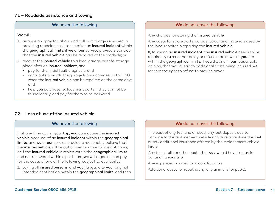### 7.1 – Roadside assistance and towing

#### **We** cover the following

#### We will:

- 1. arrange and pay for labour and call-out charges involved in providing roadside assistance after an insured incident within the **geographical limits**, if we or our service providers consider that the insured vehicle can be repaired at the roadside; or
- 2. recover the *insured vehicle* to a local garage or safe storage place after an insured incident, and
	- pay for the initial fault diagnosis; and
	- contribute towards the garage labour charges up to £150 when the *insured vehicle* can be repaired on the same day; and
	- help you purchase replacement parts if they cannot be found locally, and pay for them to be delivered.

#### **We** do not cover the following

Any charges for storing the insured vehicle.

Any costs for spare parts, garage labour and materials used by the local repairer in repairing the insured vehicle.

If, following an insured incident, the insured vehicle needs to be repaired, you must not delay or refuse repairs whilst you are within the **geographical limits**. If you do, and in our reasonable opinion, that would lead to additional costs being incurred, we reserve the right to refuse to provide cover.

### 7.2 – Loss of use of the insured vehicle

#### **We** cover the following

If at any time during your trip, you cannot use the insured vehicle because of an insured incident within the geographical limits, and we or our service providers reasonably believe that the insured vehicle will be out of use for more than eight hours; or if the insured vehicle is stolen within the geographical limits and not recovered within eight hours, we will organise and pay for the costs of one of the following, subject to availability:

1. taking all insured persons, and your luggage to your original intended destination, within the geographical limits, and then

#### **We** do not cover the following

The cost of any fuel and oil used, any lost deposit due to damage to the replacement vehicle or failure to replace the fuel or any additional insurance offered by the replacement vehicle hirers.

Any fines, tolls or other costs that you would have to pay in continuing your trip.

Any expenses incurred for alcoholic drinks.

Additional costs for repatriating any animal(s) or pet(s).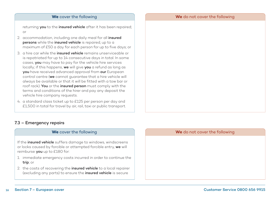#### **We** do not cover the following

#### **We** cover the following

returning **you** to the *insured vehicle* after it has been repaired; or

- 2. accommodation, including one daily meal for all insured persons while the insured vehicle is repaired, up to a maximum of £50 a day for each person for up to five days; or
- 3. a hire car while the **insured vehicle** remains unserviceable or is repatriated for up to 14 consecutive days in total. In some cases, you may have to pay for the vehicle hire services locally; if this happens, we will give you a refund as long as you have received advanced approval from our European control centre (we cannot guarantee that a hire vehicle will always be available or that it will be fitted with a tow bar or roof rack). You or the insured person must comply with the terms and conditions of the hirer and pay any deposit the vehicle hire company requests.
- 4. a standard class ticket up to £125 per person per day and £1,500 in total for travel by air, rail, taxi or public transport.

### 7.3 – Emergency repairs

#### **We** cover the following

If the insured vehicle suffers damage to windows, windscreens or locks caused by forcible or attempted forcible entry, we will reimburse you up to £180 for:

- 1. immediate emergency costs incurred in order to continue the trip; or
- 2. the costs of recovering the **insured vehicle** to a local repairer (excluding any parts) to ensure the insured vehicle is secure

#### **We** do not cover the following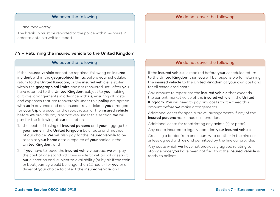#### **We** cover the following

and roadworthy.

The break-in must be reported to the police within 24 hours in order to obtain a written report.

### 7.4 – Returning the insured vehicle to the United Kingdom

#### **We** cover the following

If the insured vehicle cannot be repaired, following an insured incident within the geographical limits, before your scheduled return to the United Kingdom, or the insured vehicle is stolen within the geographical limits and not recovered until after you have returned to the United Kingdom, subject to you making all travel arrangements in advance with us, ensuring all costs and expenses that are recoverable under this policy are agreed with us in advance and any unused travel tickets you arranged for your trip are used for the repatriation of the insured vehicle before we provide any alternatives under this section, we will pay for the following at our discretion:

- 1. the costs of taking all insured persons and your luggage to your home in the United Kingdom by a route and method of our choice. We will also pay for the insured vehicle to be taken to your home or to a repairer of your choice in the United Kingdom; and
- 2. if you have to leave the insured vehicle abroad, we will pay the cost of one standard class single ticket by rail or sea at our discretion and, subject to availability (or by air if the train or boat journey would be longer than 12 hours), for you or a driver of your choice to collect the insured vehicle; and

#### **We** do not cover the following

#### **We** do not cover the following

If the insured vehicle is repaired before your scheduled return to the United Kingdom then you will be responsible for returning the insured vehicle to the United Kingdom at your own cost and for all associated costs.

Any amount to repatriate the **insured vehicle** that exceeds the current market value of the insured vehicle in the United Kingdom. You will need to pay any costs that exceed this amount before we make arrangements.

Additional costs for special travel arrangements if any of the insured persons has a medical condition.

Additional costs for repatriating any animal(s) or pet(s).

Any costs incurred to legally abandon your insured vehicle.

Crossing a border from one country to another in the hire car, unless agreed with us and permitted by the hire car provider.

Any costs which we have not previously agreed relating to storage once you have been notified that the insured vehicle is ready to collect.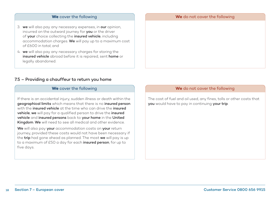#### **We** cover the following

- 3. we will also pay any necessary expenses, in our opinion, incurred on the outward journey for you or the driver of your choice collecting the insured vehicle, including accommodation charges. We will pay up to a maximum cost of £600 in total; and
- 4. we will also pay any necessary charges for storing the insured vehicle abroad before it is repaired, sent home or legally abandoned.

### 7.5 – Providing a chauffeur to return you home

#### **We** cover the following

If there is an accidental injury, sudden illness or death within the geographical limits which means that there is no insured person with the **insured vehicle** at the time who can drive the **insured** vehicle, we will pay for a qualified person to drive the insured vehicle and insured persons back to your home in the United Kingdom. We will need to see all medical and other evidence.

We will also pay your accommodation costs on your return journey, provided these costs would not have been necessary if the trip had gone ahead as planned. The most we will pay is up to a maximum of £50 a day for each insured person, for up to five days.

#### **We** do not cover the following

The cost of fuel and oil used, any fines, tolls or other costs that you would have to pay in continuing your trip.

#### **We** do not cover the following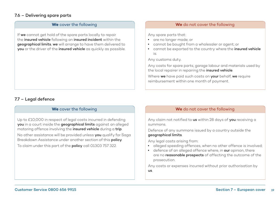### 7.6 – Delivering spare parts

#### **We** cover the following

If we cannot get hold of the spare parts locally to repair the insured vehicle following an insured incident within the geographical limits, we will arrange to have them delivered to you or the driver of the insured vehicle as quickly as possible.

#### **We** do not cover the following

Any spare parts that:

- <sup>l</sup> are no longer made; or
- cannot be bought from a wholesaler or agent; or
- cannot be exported to the country where the insured vehicle is.

Any customs duty.

Any costs for spare parts, garage labour and materials used by the local repairer in repairing the insured vehicle.

Where we have paid such costs on your behalf, we require reimbursement within one month of payment.

#### 7.7 – Legal defence

#### **We** cover the following

Up to £10,000 in respect of legal costs incurred in defending you in a court inside the geographical limits against an alleged motoring offence involving the insured vehicle during a trip. No other assistance will be provided unless you qualify for Saga Breakdown Assistance under another section of this policy.

To claim under this part of the **policy** call 01303 757 322.

#### **We** do not cover the following

Any claim not notified to us within 28 days of you receiving a summons.

Defence of any summons issued by a country outside the geographical limits.

Any legal costs arising from:

- alleged speeding offences, when no other offence is involved;
- defence of an alleged offence where, in our opinion, there are no **reasonable prospects** of affecting the outcome of the prosecution.

Any costs or expenses incurred without prior authorisation by us.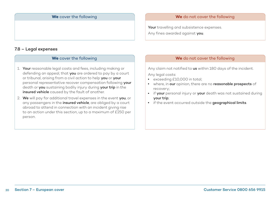#### **We** cover the following

#### 7.8 – Legal expenses

#### **We** cover the following

- 1. Your reasonable legal costs and fees, including making or defending an appeal, that you are ordered to pay by a court or tribunal, arising from a civil action to help you or your personal representative recover compensation following your death or you sustaining bodily injury during your trip in the insured vehicle caused by the fault of another.
- 2. We will pay for additional travel expenses in the event you, or any passengers in the *insured vehicle*, are obliged by a court abroad to attend in connection with an incident giving rise to an action under this section, up to a maximum of £250 per person.

#### **We** do not cover the following

Your travelling and subsistence expenses. Any fines awarded against you.

#### **We** do not cover the following

Any claim not notified to us within 180 days of the incident.

Any legal costs:

- exceeding £10,000 in total;
- where, in our opinion, there are no reasonable prospects of recovery;
- if your personal injury or your death was not sustained during your trip;
- **.** if the event occurred outside the geographical limits.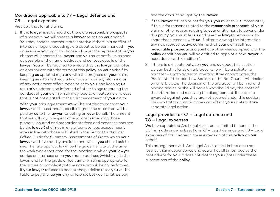### Conditions applicable to 7.7 – Legal defence and 7.8 – Legal expenses

Provided that for all claims:

1. If the lawyer is satisfied that there are reasonable prospects of a recovery we will choose a lawyer to act on your behalf. You may choose another representative if there is a conflict of interest, or legal proceedings are about to be commenced. If you do exercise your right to choose a lawyer the representative you choose will become the lawyer and you must notify us as soon as possible of the name, address and contact details of the lawyer. You will be required to ensure that the lawyer complies as appropriate with the terms of this **policy** on **your** behalf by keeping us updated regularly with the progress of your claim; keeping us informed regularly of costs incurred; informing us of any settlement offers made to or by you; and keeping us regularly updated and informed of other things regarding the conduct of **your** claim which may lead to an outcome or a cost that is not anticipated at the commencement of your claim.

With your prior agreement we will be entitled to contact your lawyer to discuss, and if possible agree, the rates that will be paid by us to the lawyer for acting on your behalf. The amount that we will pay in respect of legal costs (meaning those properly incurred and proportionate fees and expenses charged by the **lawyer**) shall not in any circumstances exceed hourly rates in line with those published in the Senior Courts Cost Office Guide for Summary Assessments of Costs which your lawyer will have readily available and which you should ask to see. The rate applicable will be the guideline rate at the time the work was conducted, for the location in which your lawyer carries on business or on your home address (whichever is the lower) and for the grade of fee earner which is appropriate for the nature or complexity of the case or task being performed. If your lawyer refuses to accept the guideline rates you will be liable to pay the **lawyer** any difference between what we pay

and the amount sought by the lawyer.

- 2. If the lawyer refuses to act for you, you must tell us immediately. If this is for reasons related to the reasonable prospects of your claim or other reason relating to your entitlement to cover under this policy, you must tell us and give the lawyer permission to share those reasons with us. If, after reviewing the information, any new representative confirms that your claim still has reasonable prospects and you have otherwise complied with the policy conditions you will be entitled to appoint a new lawyer in accordance with condition 1.
- 3. If there is a dispute between **you** and us about this section. we can both refer to an arbitrator who will be a solicitor or barrister we both agree on in writing. If we cannot agree, the President of the local Law Society or the Bar Council will decide on an arbitrator. The decision of the arbitrator will be final and binding and he or she will decide who should pay the costs of the arbitration and resolving the disagreement. If costs are awarded against you, they are not covered under this section. This arbitration condition does not affect your rights to take separate legal action.

### Legal provider for 7.7 – Legal defence and 7.8 – Legal expenses

We have appointed Arc Legal Assistance Limited to handle the claims made under subsections 7.7 – Legal defence and 7.8 – Legal expenses of the European cover extension of this policy on our behalf.

This arrangement with Arc Legal Assistance Limited does not restrict their independence and you will at all times receive the best advice for you. It does not restrict your rights under these subsections of the **policy**.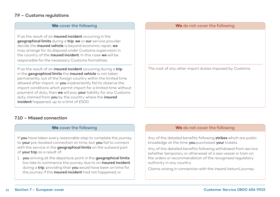### 7.9 – Customs regulations

#### **We** cover the following

If as the result of an *insured incident* occurring in the geographical limits during a trip, we or our service provider decide the insured vehicle is beyond economic repair, we may arrange for its disposal under Customs supervision in the country of the *insured incident*. In this case we will be responsible for the necessary Customs formalities.

If as the result of an insured incident occurring during a trip in the **geographical limits** the *insured* vehicle is not taken permanently out of the foreign country within the limited time allowed after import, or you inadvertently fail to observe the import conditions which permit import for a limited time without payment of duty, then we will pay your liability for any Customs duty claimed from you by the country where the insured incident happened, up to a limit of £500.

#### **We** do not cover the following

The cost of any other import duties imposed by Customs.

### 7.10 – Missed connection

#### **We** cover the following

If you have taken every reasonable step to complete the journey to your pre-booked connection on time, but you fail to connect with the service in the geographical limits on the outward part of your trip as a result of:

1. you arriving at the departure point in the geographical limits too late to commence the journey due to an insured incident during a trip, providing that you would have been on time for the journey if the *insured incident* had not happened; or

#### **We** do not cover the following

Any of the detailed benefits following strikes which are public knowledge at the time you purchased your tickets.

Any of the detailed benefits following withdrawal from service (whether temporary or otherwise) of a sea vessel or train on the orders or recommendation of the recognised regulatory authority in any country.

Claims arising in connection with the inward (return) journey.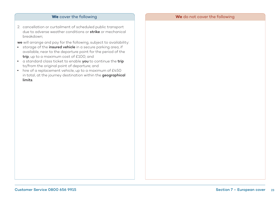2. cancellation or curtailment of scheduled public transport due to adverse weather conditions or strike or mechanical breakdown;

we will arrange and pay for the following, subject to availability:

- **.** storage of the *insured vehicle* in a secure parking area, if available, near to the departure point for the period of the trip, up to a maximum cost of £100; and
- **.** a standard class ticket to enable you to continue the trip to/from the original point of departure; and
- hire of a replacement vehicle, up to a maximum of £450 in total, at the journey destination within the geographical limits.

#### **We** cover the following **We** do not cover the following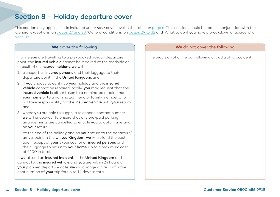# Section 8 – Holiday departure cover

This section only applies if it is included under **your** cover level in the table on [page 6.](#page-5-0) This section should be read in conjunction with the 'General exceptions' on [pages 27 and 28,](#page-26-0) 'General conditions' on [pages 29 to 32](#page-28-0) and 'What to do if you have a breakdown or accident' on [page 33.](#page-32-0)

If while **you** are travelling to a pre-booked holiday departure point, the insured vehicle cannot be repaired at the roadside as a result of an insured incident, we will:

- 1. transport all insured persons and their luggage to their departure point in the United Kingdom; and
- 2. if you choose to continue your holiday and the insured vehicle cannot be repaired locally, you may request that the insured vehicle is either taken to a nominated repairer near your home or to a nominated friend or family member who will take responsibility for the insured vehicle until your return; and
- 3. where you are able to supply a telephone contact number, we will endeavour to ensure that any pre-paid parking arrangements are cancelled to enable you to obtain a refund on your return.

At the end of the holiday and on your return to the departure/ arrival point in the United Kingdom, we will refund the cost upon receipt of your expenses for all insured persons and their luggage to return to your home, up to a maximum cost  $of$   $f100$  in total.

If we attend an insured incident in the United Kingdom and cannot fix the insured vehicle and you are within 24 hours of your planned departure date, we will arrange a hire car for the continuation of your trip for up to 14 days in total.

#### **We** cover the following **We** do not cover the following

The provision of a hire car following a road traffic accident.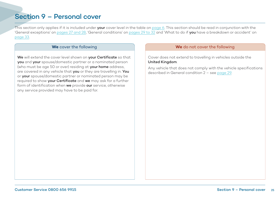## Section 9 – Personal cover

This section only applies if it is included under your cover level in the table on [page 6.](#page-5-0) This section should be read in conjunction with the 'General exceptions' on [pages 27 and 28,](#page-26-0) 'General conditions' on [pages 29 to 32](#page-28-0) and 'What to do if you have a breakdown or accident' on [page 33.](#page-32-0)

We will extend the cover level shown on your Certificate so that you and your spouse/domestic partner or a nominated person (who must be age 50 or over) residing at **vour home** address. are covered in any vehicle that you or they are travelling in. You or your spouse/domestic partner or nominated person may be required to show **your Certificate** and we may ask for a further form of identification when we provide our service, otherwise any service provided may have to be paid for.

#### **We** cover the following **We** do not cover the following

Cover does not extend to travelling in vehicles outside the United Kingdom.

Any vehicle that does not comply with the vehicle specifications described in General condition 2 – see [page 29.](#page-28-0)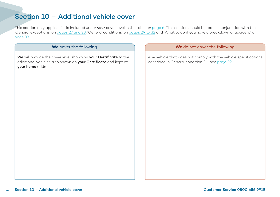# Section 10 – Additional vehicle cover

This section only applies if it is included under your cover level in the table on [page 6.](#page-5-0) This section should be read in conjunction with the 'General exceptions' on [pages 27 and 28,](#page-26-0) 'General conditions' on [pages 29 to 32](#page-28-0) and 'What to do if you have a breakdown or accident' on [page 33.](#page-32-0)

We will provide the cover level shown on your Certificate to the additional vehicles also shown on your Certificate and kept at your home address.

#### **We** cover the following **We** do not cover the following

Any vehicle that does not comply with the vehicle specifications described in General condition 2 – see [page 29.](#page-28-0)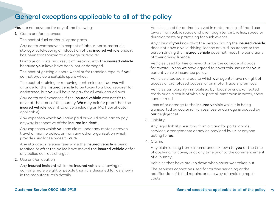## <span id="page-26-0"></span>General exceptions applicable to all of the policy

You are not covered for any of the following:

1. Costs and/or expenses

The cost of fuel and/or all spare parts.

 Any costs whatsoever in respect of labour, parts, materials, storage, safekeeping or relocation of the *insured vehicle* once it has been transported to a garage or repairer.

 Damage or costs as a result of breaking into the insured vehicle because your keys have been lost or damaged.

The cost of getting a spare wheel or for roadside repairs if you cannot provide a suitable spare wheel.

The cost of draining or removing contaminated fuel (we will arrange for the insured vehicle to be taken to a local repairer for assistance, but you will have to pay for all work carried out).

Any costs and expenses if the *insured vehicle* was not fit to drive at the start of the journey. We may ask for proof that the insured vehicle was fit to drive (including an MOT certificate if applicable).

Any expenses which you have paid or would have had to pay anyway irrespective of the insured incident.

Any expenses which you can claim under any motor, caravan, travel or marine policy, or from any other organisation which provides similar services to ours.

Any storage or release fees while the **insured vehicle** is being repaired or after the police have moved the *insured vehicle* or for any police call-out charges.

#### 2. Use and/or location

Any insured incident while the insured vehicle is towing or carrying more weight or people than it is designed for, as shown in the manufacturer's details.

 Vehicles used for and/or involved in motor racing, off road use (away from public roads and over rough terrain), rallies, speed or duration tests or practising for such events.

Any claim if you know that the person driving the insured vehicle does not have a valid driving licence or valid insurance; or the person driving the *insured vehicle* does not meet the conditions of their driving licence.

 Vehicles used for hire or reward or for the carriage of goods for reward unless we have agreed to cover this use under your current vehicle insurance policy.

 Vehicles situated in areas to which our agents have no right of access or are refused access, or on motor traders' premises.

 Vehicles temporarily immobilised by floods or snow-affected roads or as a result of whole or partial immersion in water, snow, sand or mud.

Loss of or damage to the *insured vehicle* while it is being transported by sea or rail (unless loss or damage is caused by our negligence).

3. Liability

 Any legal liability resulting from a claim for parts, goods, services, arrangements or advice provided by us or anyone acting for us.

4. Claims

Any claim arising from circumstances known to you at the time of applying for cover, or at any time prior to the commencement of a journey.

Vehicles that have broken down when cover was taken out.

 The services cannot be used for routine servicing or the rectification of failed repairs, or as a way of avoiding repair costs.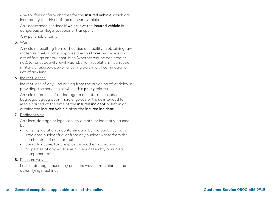Any toll fees or ferry charges for the *insured vehicle*, which are incurred by the driver of the recovery vehicle.

Any assistance services if we believe the insured vehicle is dangerous or illegal to repair or transport.

Any perishable items.

#### 5. War

 Any claim resulting from difficulties or inability in obtaining raw materials, fuel or other supplies due to strikes, war, invasion, act of foreign enemy, hostilities (whether war be declared or not), terrorist activity, civil war, rebellion, revolution, insurrection, military or usurped power or taking part in civil commotion or riot of any kind.

#### 6. Indirect losses

 Indirect loss of any kind arising from the provision of, or delay in providing, the services to which this **policy** relates.

 Any claim for loss of or damage to objects, accessories, baggage, luggage, commercial goods or those intended for resale carried at the time of the insured incident or left in or outside the insured vehicle after the insured incident.

#### 7. Radioactivity

 Any loss, damage or legal liability directly or indirectly caused by:

- $\bullet$  ionising radiation or contamination by radioactivity from irradiated nuclear fuel or from any nuclear waste from the combustion of nuclear fuel;
- the radioactive, toxic, explosive or other hazardous properties of any explosive nuclear assembly or nuclear component of it.

#### 8. Pressure waves

 Loss or damage caused by pressure waves from planes and other flying machines.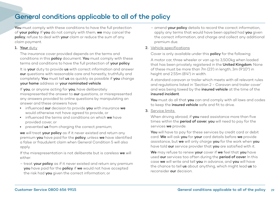# <span id="page-28-0"></span>General conditions applicable to all of the policy

You must comply with these conditions to have the full protection of your policy. If you do not comply with them, we may cancel the policy, refuse to deal with your claim or reduce the sum of any claim payment.

#### 1. Your duty

 The insurance cover provided depends on the terms and conditions in this **policy** document. You must comply with these terms and conditions to have the full protection of your policy.

It is **vour** duty to provide us with correct information and answer our questions with reasonable care and honestly, truthfully and completely. You must tell us as quickly as possible if you change your home address or your nominated vehicle.

If you, or anyone acting for you, have deliberately misrepresented the answer to **our** questions, or misrepresented any answers provided to online questions by manipulating an answer and these answers have:

- **·** influenced our decision to provide you with insurance we would otherwise not have agreed to provide, or
- influenced the terms and conditions on which we have provided cover, or
- prevented us from charging the correct premium;

we will treat your policy as if it never existed and return any premium you have paid for the policy, unless we have identified a false or fraudulent claim when General Condition 5 will also apply.

If the misrepresentation is not deliberate but is careless we will either:

– treat your policy as if it never existed and return any premium you have paid for the policy if we would not have accepted the risk had you given the correct information; or

- amend **vour policy** details to record the correct information. apply any terms that would have been applied had you given the correct information, and charge and collect any additional premium due.
- 2. Vehicle specifications

Cover is only available under this **policy** for the following:

 A motor car, three wheeler or van up to 3,500kg when loaded that has been privately registered in the United Kingdom. None of these must be more than 7m (23') in length, 3m (9'10") in height and 2.55m (8'4") in width.

 A standard caravan or trailer which meets with all relevant rules and regulations listed in 'Section 2 - Caravan and trailer cover' and was being towed by the insured vehicle at the time of the insured incident.

You must do all that you can and comply with all laws and codes to keep the insured vehicle safe and fit to drive.

3. Service limits

When driving abroad, if you need assistance more than five times within the **period of cover, you** will need to pay for the services we provide.

You will have to pay for these services by credit card or debit card. We will ask you for your card details before we provide assistance, but we will only charge you for the work when you have told our service provider that you are satisfied with it.

We may refuse to renew your cover if we feel that you have used our services too often during the period of cover. In this case we will write and tell you in advance, and you will have the chance to tell us about anything, which might lead us to reconsider our decision.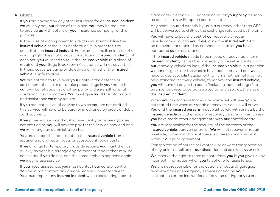If you are covered by any other insurance for an insured incident, we will only pay our share of the claim. You may be required to provide us with details of your insurance company for this purpose.

 In the case of a component failure, this must immobilise the insured vehicle or make it unsafe to drive in order for it to constitute an insured incident. For example, the illumination of a warning light does not always constitute an insured incident. If it does not, you will need to take the insured vehicle to a place of repair and your Saga Breakdown Assistance will not cover this. In these cases we can provide advice on whether the insured vehicle is safe to drive.

We are entitled to take over your rights in the defence or settlement of a claim or to take proceedings in your name for our own benefit against another party and we shall have full discretion in such matters. You must give us all the information and assistance we may require.

If you request a level of service to which you are not entitled, this service will have to be paid for in advance by credit or debit card payment.

If we provide a service that it subsequently transpires you are not entitled to, you will have to pay for the service provided and we will charge an administration fee.

You are responsible for collecting the insured vehicle from a repairer and any repair costs or subsequent repair costs.

If we arrange for temporary roadside repairs, you must then as quickly as possible arrange any permanent repairs that may be necessary. If you do not, and the same problem happens again, we may refuse service.

If you need assistance, you must contact our control centre. You must not contact any garage recovery operator direct. You must report any insured incident which could bring about a claim under 'Section 7 - European cover' of your policy as soon as possible to our European control centre.

Any costs incurred directly by us in a currency other than GBP will be converted to GBP at the exchange rate used at the time.

You will have to pay the cost of our recovery or repair vehicle coming out to you if you allow the insured vehicle to be recovered or repaired by someone else after you have contacted us for assistance.

 If the insured vehicle needs to be moved or recovered after an insured incident, it must be in an easily accessible position for our recovery vehicle to load. If the insured vehicle is in a position we cannot get to, or the wheels have been removed and we need to use specialist equipment (which is not normally carried on a standard recovery vehicle) to recover the *insured vehicle*, you will have to pay extra costs (including labour charges) to arrange for these to be transported to, and used at, the site of the insured incident.

When you ask for assistance or recovery, we will give you an estimated time when our repair or recovery vehicle will arrive. You and the insured persons must wait safely with or nearby the insured vehicle until the repair or recovery vehicle arrives, unless you have made other arrangements with our control centre.

You are responsible for the security of the contents of the insured vehicle, caravan or trailer. We will not recover or repair a vehicle, caravan or trailer if there is a person or animal in it without our prior agreement.

 Transportation of horses or livestock, or onward transportation of any animal shall be at our discretion and solely at your risk.

We reserve the right to recover costs from you if you give us any incorrect information when you telephone for assistance.

We are not responsible for the actions or costs of garages, recovery firms or emergency services acting on your instructions or the instructions of anyone acting for you and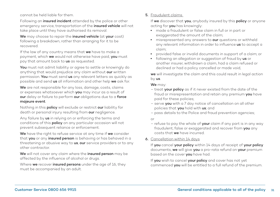cannot be held liable for them.

Following an *insured incident* attended by the police or other emergency service, transportation of the insured vehicle will not take place until they have authorised its removal.

We may choose to repair the insured vehicle (at your cost) following a breakdown, rather than arranging for it to be recovered.

If the law of any country means that we have to make a payment, which we would not otherwise have paid, you must pay that amount back to us as requested.

You must not admit liability or agree to settle or knowingly do anything that would prejudice any claim without our written permission. You must send us any relevant letters as quickly as possible and send us all information and other help we ask for.

We are not responsible for any loss, damage, costs, claims or expenses whatsoever which you may incur as a result of our delay or failure to perform our obligations due to a force majeure event.

Nothing in this **policy** will exclude or restrict our liability for death or personal injury resulting from our negligence.

Any failure by us in relying on or enforcing the terms and conditions of this **policy** on any particular occasion will not prevent subsequent reliance or enforcement.

We have the right to refuse service at any time if we consider that you or any insured person is behaving or has behaved in a threatening or abusive way to **us, our** service providers or to any other contractor.

We will not cover any claim where the insured person may be affected by the influence of alcohol or drugs.

Where we recover insured persons under the age of 16, they must be accompanied by an adult.

#### 5. Fraudulent claims

If we discover that you, anybody insured by this policy or anyone acting for you has knowingly:

- made a fraudulent or false claim in full or in part or exaggerated the amount of the claim;
- misrepresented any answers to our questions or withheld any relevant information in order to influence us to accept a claim;
- provided false or invalid documents in support of a claim; or
- following an allegation or suggestion of fraud by us or another insurer, withdrawn a claim, had a claim refused or declined or had a policy cancelled or made void,

 we will investigate the claim and this could result in legal action by us.

#### We may:

- treat your policy as if it never existed from the date of the fraud or misrepresentation and retain any premium you have paid for these policies;
- serve you with a 7 day notice of cancellation on all other policies that you hold with us; and
- pass details to the Police and fraud prevention agencies;

#### or

– refuse to pay the whole of your claim if any part is in any way fraudulent, false or exaggerated and recover from you any costs that we have incurred.

#### 6. Cancellation within 14 days

If you cancel your policy within 14 days of receipt of your policy documents, we will give you a pro-rata refund on your premium based on the cover you have had.

If you wish to cancel your policy and cover has not yet commenced you will be entitled to a full refund of the premium.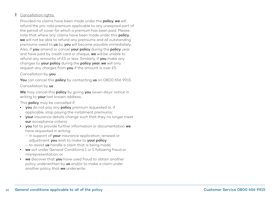#### 7. Cancellation rights

Provided no claims have been made under the **policy**, we will refund the pro-rata premium applicable to any unexpired part of the period of cover for which a premium has been paid. Please note that where any claims have been made under this **policy** we will not be able to refund any premiums and all outstanding premiums owed to us by you will become payable immediately. Also, if you amend or cancel your policy during the policy year and have paid by credit card or cheque, we will be unable to refund any amounts of £5 or less. Similarly, if you make any changes to your policy during the policy year, we will only request any charges from you if the amount is over £5.

#### Cancellation by you

You can cancel this policy by contacting us on 0800 656 9915.

#### Cancellation by us

We may cancel this policy by giving you seven days' notice in writing to your last known address.

This **policy** may be cancelled if:

- you do not pay any policy premium requested or, if applicable, stop paying the instalment premiums;
- **vour** insurance details change such that they no longer meet our acceptance criteria;
- **•** you fail to provide further information or documentation we have requested in writing:
	- in support of your insurance application, renewal or adjustment you wish to make to your policy;
	- to assist us handle a claim that is being made;
- we act under General Conditions 1 or 5 following fraud or misrepresentation; or
- **•** we discover that you have used fraud to obtain another policy underwritten by us and/or to make a claim under another policy that we underwrite.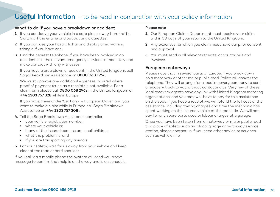## <span id="page-32-0"></span>**Useful Information** – to be read in conjunction with your policy information

#### What to do if you have a breakdown or accident

- 1. If you can, leave your vehicle in a safe place, away from traffic. Switch off the engine and put out any cigarettes.
- 2. If you can, use your hazard lights and display a red warning triangle if you have one.
- 3. Find the nearest telephone. If you have been involved in an accident, call the relevant emergency services immediately and make contact with any witnesses.

 If you have a breakdown or accident in the United Kingdom, call Saga Breakdown Assistance on 0800 068 1966.

 We must approve any additional expenses incurred where proof of payment (such as a receipt) is not available. For a claim form please call 0800 068 2962 in the United Kingdom or +44 1303 757 328 while in Europe.

 If you have cover under 'Section 7 – European Cover' and you want to make a claim while in Europe call Saga Breakdown Assistance on +44 1303 757 308 .

- 4. Tell the Saga Breakdown Assistance controller:
	- your vehicle registration number;
	- where your vehicle is;
	- if any of the insured persons are small children;
	- what the problem is; and
	- if you are transporting any animals.
- 5. For your safety, wait for us away from your vehicle and keep clear of the road or hard shoulder.

If you call via a mobile phone the system will send you a text message to confirm that help is on the way and is on schedule.

#### Please note

- 1. Our European Claims Department must receive your claim within 30 days of your return to the United Kingdom.
- 2. Any expenses for which you claim must have our prior consent and approval.
- 3. You must send in all relevant receipts, accounts, bills and invoices.

#### European motorways

Please note that in several parts of Europe, if you break down on a motorway or other major public road, Police will answer the telephone. They will arrange for a local recovery company to send a recovery truck to you without contacting us. Very few of these local recovery agents have any link with United Kingdom motoring organisations, and you may well have to pay for this assistance on the spot. If you keep a receipt, we will refund the full cost of the assistance, including towing charges and time the mechanic has spent working on the insured vehicle at the roadside. We will not pay for any spare parts used or labour charges at a garage.

Once you have been taken from a motorway or major public road to a place of safety such as a local garage or motorway service station, please contact us if you need other advice or services, such as vehicle hire.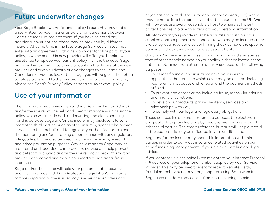# <span id="page-33-0"></span>Future underwriter changes

Your Saga Breakdown Assistance policy is currently provided and underwritten by your insurer as part of an agreement between Saga Services Limited and them. If you have selected any additional cover options, these may be provided by different insurers. At some time in the future Saga Services Limited may enter into an agreement with a new provider for all or part of your policy, in which case this new provider will offer you breakdown assistance to replace your current policy. If this is the case, Saga Services Limited will write to you to confirm the details of the new provider and give you details of any changes to the Terms and Conditions of your policy. At this stage you will be given the option to refuse transferral to the new provider. For further information, please see Saga's Privacy Policy at saga.co.uk/privacy-policy.

# Use of your information

The information you have given to Saga Services Limited (Saga) and/or the insurer will be held and used to manage your insurance policy, which will include both underwriting and claim handling. For this purpose Saga and/or the insurer may disclose it to other interested third parties, such as other insurers, agents who provide services on their behalf and to regulatory authorities for this and the monitoring and/or enforcing of compliance with any regulatory rules/codes. It may also be used for offering renewals, research and crime prevention purposes. Any calls made to Saga may be monitored and recorded to improve the service and help prevent and detect fraud. Saga and/or the insurer may check information provided or received and may also undertake additional fraud searches.

Saga and/or the insurer will hold your personal data securely and in accordance with Data Protection Legislation\*. From time to time Saga and/or the insurer may use service providers and

organisations outside the European Economic Area (EEA) where they do not afford the same level of data security as the UK. We will, however, use every reasonable effort to ensure sufficient protections are in place to safeguard your personal information.

All information you provide must be accurate and, if you have supplied another person's personal data who may be insured under the policy, you have done so confirming that you have the specific consent of that other person to disclose that data.

Saga and/or the insurer will use your information and sometimes that of other people named on your policy, either collected at the outset or obtained from other third party sources, for the following purposes:

- To assess financial and insurance risks, your insurance application, the terms on which cover may be offered, including your premium at quote and renewal, and the payment methods offered;
- To prevent and detect crime including fraud, money laundering and financial sanctions;
- To develop our products, pricing, systems, services and relationships with you;
- To comply with our legal and regulatory obligations.

These sources include credit reference bureaus, the electoral roll and public data provided to us by credit reference bureaus and other third parties. The credit reference bureaus will keep a record of the search; this may be reflected in your credit score.

Saga and/or the insurer may share this information with third parties in order to carry out insurance related activities on our behalf, including management of your claim, credit hire and legal advice.

If you contact us electronically we may store your Internet Protocol (IP) address or your telephone number supplied by your Service Provider. This may be used to identify repeat website visits, fraudulent behaviour or mystery shoppers using Saga websites.

Saga uses the data they collect from you, including special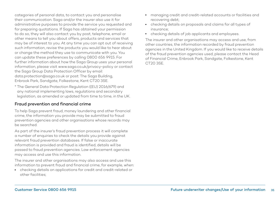categories of personal data, to contact you and personalise their communication. Saga and/or the insurer also use it for administrative purposes to provide the service you requested and for preparing quotations. If Saga has obtained your permission to do so, they will also contact you by post, telephone, email or other means to tell you about offers, products and services that may be of interest to you. At any time you can opt out of receiving such information, revise the products you would like to hear about or change the method they use to communicate with you. You can update these preferences by calling 0800 656 9915. For further information about how the Saga Group uses your personal information, please visit www.saga.co.uk/privacy-policy or contact the Saga Group Data Protection Officer by email: data.protection@saga.co.uk or post: The Saga Building, Enbrook Park, Sandgate, Folkestone, Kent CT20 3SE.

\* The General Data Protection Regulation ((EU) 2016/679) and any national implementing laws, regulations and secondary legislation, as amended or updated from time to time, in the UK.

#### Fraud prevention and financial crime

To help Saga prevent fraud, money laundering and other financial crime, the information you provide may be submitted to fraud prevention agencies and other organisations whose records may be searched.

As part of the insurer's fraud prevention process it will complete a number of enquiries to check the details you provide against relevant fraud prevention databases. If false or inaccurate information is provided and fraud is identified, details will be passed to fraud prevention agencies. Law enforcement agencies may access and use this information.

The insurer and other organisations may also access and use this information to prevent fraud and financial crime, for example, when:

• checking details on applications for credit and credit-related or other facilities;

- managing credit and credit-related accounts or facilities and recovering debt;
- checking details on proposals and claims for all types of insurance;
- checking details of job applicants and employees.

The insurer and other organisations may access and use, from other countries, the information recorded by fraud prevention agencies in the United Kingdom. If you would like to receive details of the fraud prevention agencies used, please contact the Head of Financial Crime, Enbrook Park, Sandgate, Folkestone, Kent CT20 3SE.